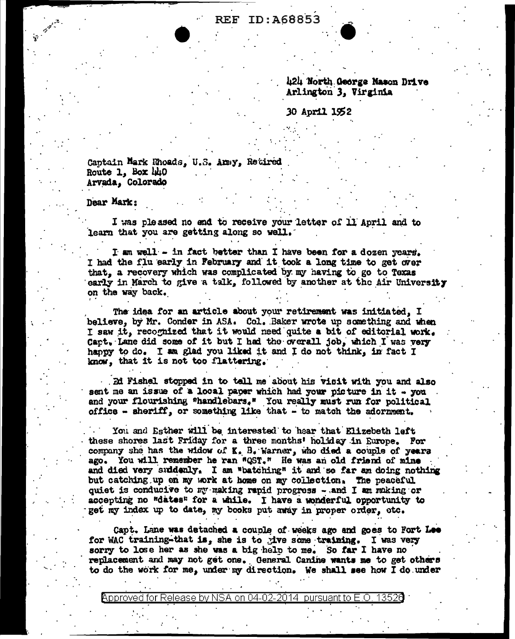**REF ID: A68853** 

424 North George Nason Drive Arlington 3. Virginia

30 April 1952

Captain Mark Rhoads, U.S. Amiy, Retired Route 1, Box 440 Arvada, Colorado

Dear Mark:

I was pleased no end to receive your letter of 11 April and to learn that you are getting along so well.

I am well - in fact better than I have been for a dozen years. I had the flu early in February and it took a long time to get over that, a recovery which was complicated by my having to go to Texas early in March to give a talk, followed by another at the Air University on the way back.

The idea for an article about your retirement was initiated, I believe, by Mr. Conder in ASA. Col. Baker wrote up something and when I saw it, recognized that it would need quite a bit of editorial work. Cart. Lane did some of it but I had the overall job, which I was very happy to do. I am glad you liked it and I do not think, in fact I know, that it is not too flattering.

Ed Fishel stopped in to tell me about his visit with you and also sent me an issue of a local paper which had your picture in it - you and your flourishing "handlebars." You really must run for political office - sheriff, or something like that - to match the adornment.

You and Esther will be interested to hear that Elizebeth left these shores last Friday for a three months' holiday in Europe. For company she has the widow of K. B. Warner, who died a couple of years ago. You will remember he ran "QST." He was an old friend of mine and died very suddenly. I am "batching" it and so far am doing nothing but catching up on my work at home on my collection. The peaceful quiet is conducive to my making rapid progress - and I am making or accepting no "dates" for a while. I have a wonderful opportunity to get my index up to date, my books put away in proper order, otc.

Capt. Lane was detached a couple of weeks ago and goes to Fort Lee for WAC training-that is, she is to give some training. I was very sorry to lose her as she was a big help to me. So far I have no replacement and may not get one. General Canine wants me to get others to do the work for me, under my direction. We shall see how I do under

Approved for Release by NSA on 04-02-2014 pursuant to E.O. 13526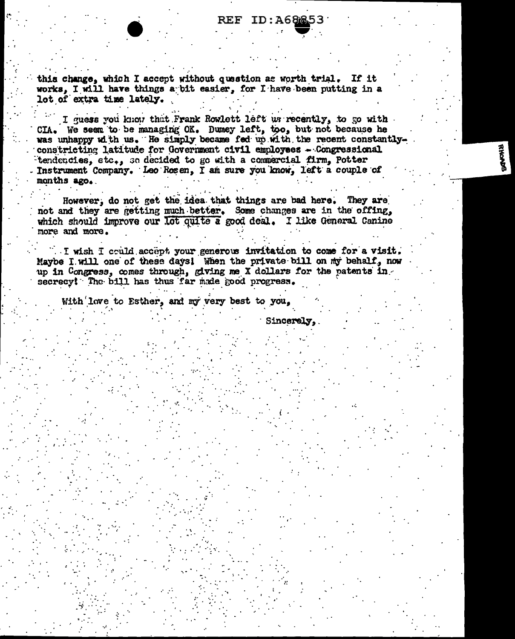## **REF ID: A68853**

this change, which I accept without question as worth trial. If it works. I will have things a bit easier. for I have been putting in a lot of extra time lately.

I guess you know that Frank Rowlett left us recently, to go with. CIA. We seem to be managing OK. Dumey left, too, but not because he was unhappy with us. He simply became fed up with the recent constantlyconstricting latitude for Government civil employees - Congressional tendencies, etc., so decided to go with a commercial firm, Potter Instrument Company. Leo Rosen. I am sure you know. left a couple of months ago.

However, do not get the idea that things are bad here. They are not and they are getting much better. Some changes are in the offing, which should improve our lot quite a good deal. I like General Canine more and more.

I wish I could accept your generous invitation to come for a visit. Maybe I will one of these days! When the private bill on my behalf, now up in Congress, comes through, giving me X dollars for the patents in secrecy! The bill has thus far made good progress.

With love to Esther, and my very best to you.

Sincerely,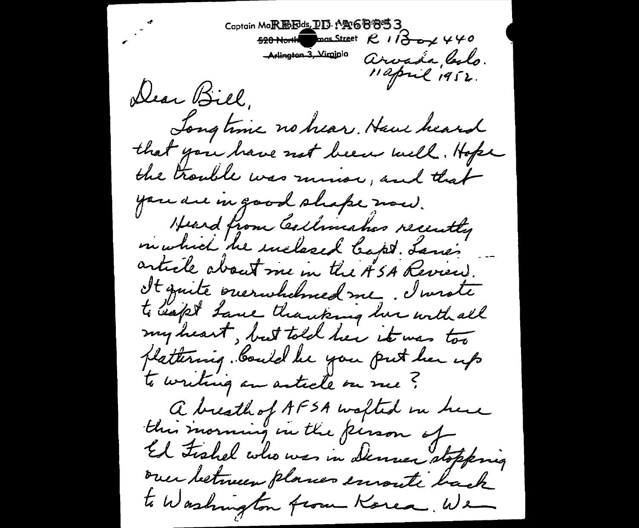Captain MoREMEds, DD: 19468853 520 North mas Street  $R$  1  $\beta$  o  $\gamma$  4 40 Arlington 3, Virgipio Arvada, laslo. Dear Bill, Jongtime no hear. Have heard that you have not been well. Hope the trouble was minor, and that you are in good shape now. Heard from Cellinahes recently in which he inclosed bapt. Lanes article about me in the ASA Review. It quite ouerwhelmed me, I wrote to safet Lane thanking his with all my heart, but told her it was too plattering. Could be you put her up to writing an article on me? a breath of AFSA walted in here this morning in the person of El Fishel who was in Denner stopping over between planes emonte back to Washington from Korea, We